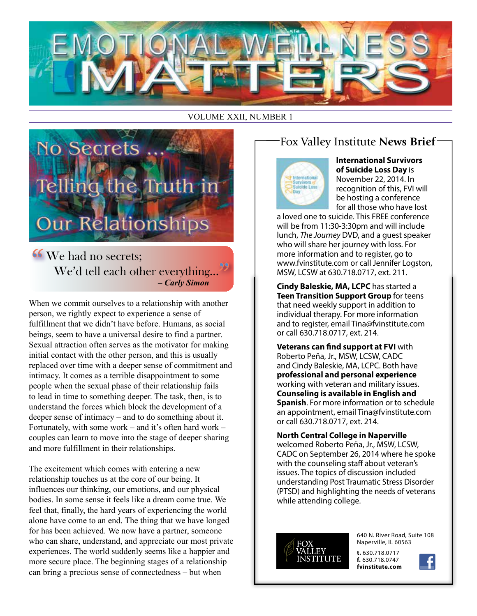

VOLUME XXII, NUMBER 1



**66** We had no secrets: We'd tell each other everything...  *– Carly Simon* 

When we commit ourselves to a relationship with another person, we rightly expect to experience a sense of fulfillment that we didn't have before. Humans, as social beings, seem to have a universal desire to find a partner. Sexual attraction often serves as the motivator for making initial contact with the other person, and this is usually replaced over time with a deeper sense of commitment and intimacy. It comes as a terrible disappointment to some people when the sexual phase of their relationship fails to lead in time to something deeper. The task, then, is to understand the forces which block the development of a deeper sense of intimacy – and to do something about it. Fortunately, with some work – and it's often hard work – couples can learn to move into the stage of deeper sharing and more fulfillment in their relationships.

The excitement which comes with entering a new relationship touches us at the core of our being. It influences our thinking, our emotions, and our physical bodies. In some sense it feels like a dream come true. We feel that, finally, the hard years of experiencing the world alone have come to an end. The thing that we have longed for has been achieved. We now have a partner, someone who can share, understand, and appreciate our most private experiences. The world suddenly seems like a happier and more secure place. The beginning stages of a relationship can bring a precious sense of connectedness – but when

# Fox Valley Institute **News Brief**



**International Survivors of Suicide Loss Day** is November 22, 2014. In recognition of this, FVI will be hosting a conference for all those who have lost

a loved one to suicide. This FREE conference will be from 11:30-3:30pm and will include lunch, *The Journey* DVD, and a guest speaker who will share her journey with loss. For more information and to register, go to www.fvinstitute.com or call Jennifer Logston, MSW, LCSW at 630.718.0717, ext. 211.

**Cindy Baleskie, MA, LCPC** has started a **Teen Transition Support Group** for teens that need weekly support in addition to individual therapy. For more information and to register, email Tina@fvinstitute.com or call 630.718.0717, ext. 214.

**Veterans can find support at FVI** with Roberto Peña, Jr., MSW, LCSW, CADC and Cindy Baleskie, MA, LCPC. Both have **professional and personal experience** working with veteran and military issues. **Counseling is available in English and Spanish**. For more information or to schedule an appointment, email Tina@fvinstitute.com or call 630.718.0717, ext. 214.

**North Central College in Naperville** welcomed Roberto Peña, Jr., MSW, LCSW, CADC on September 26, 2014 where he spoke with the counseling staff about veteran's issues. The topics of discussion included understanding Post Traumatic Stress Disorder (PTSD) and highlighting the needs of veterans while attending college.



640 N. River Road, Suite 108 Naperville, IL 60563

**t.** 630.718.0717 **f.** 630.718.0747 **fvinstitute.com**

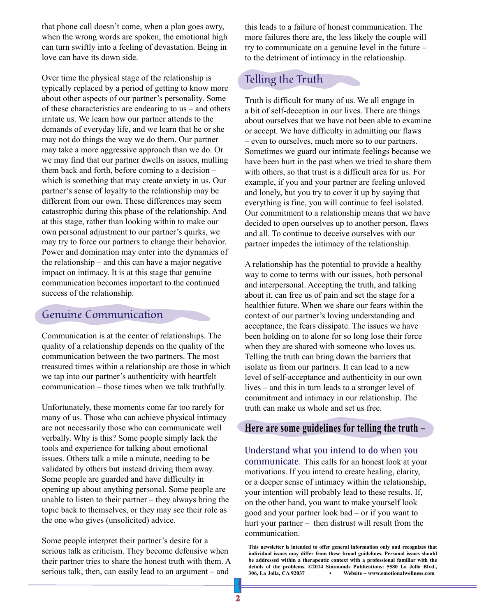that phone call doesn't come, when a plan goes awry, when the wrong words are spoken, the emotional high can turn swiftly into a feeling of devastation. Being in love can have its down side.

Over time the physical stage of the relationship is typically replaced by a period of getting to know more about other aspects of our partner's personality. Some of these characteristics are endearing to us – and others irritate us. We learn how our partner attends to the demands of everyday life, and we learn that he or she may not do things the way we do them. Our partner may take a more aggressive approach than we do. Or we may find that our partner dwells on issues, mulling them back and forth, before coming to a decision – which is something that may create anxiety in us. Our partner's sense of loyalty to the relationship may be different from our own. These differences may seem catastrophic during this phase of the relationship. And at this stage, rather than looking within to make our own personal adjustment to our partner's quirks, we may try to force our partners to change their behavior. Power and domination may enter into the dynamics of the relationship – and this can have a major negative impact on intimacy. It is at this stage that genuine communication becomes important to the continued success of the relationship.

### Genuine Communication

Communication is at the center of relationships. The quality of a relationship depends on the quality of the communication between the two partners. The most treasured times within a relationship are those in which we tap into our partner's authenticity with heartfelt communication – those times when we talk truthfully.

Unfortunately, these moments come far too rarely for many of us. Those who can achieve physical intimacy are not necessarily those who can communicate well verbally. Why is this? Some people simply lack the tools and experience for talking about emotional issues. Others talk a mile a minute, needing to be validated by others but instead driving them away. Some people are guarded and have difficulty in opening up about anything personal. Some people are unable to listen to their partner – they always bring the topic back to themselves, or they may see their role as the one who gives (unsolicited) advice.

Some people interpret their partner's desire for a serious talk as criticism. They become defensive when their partner tries to share the honest truth with them. A serious talk, then, can easily lead to an argument – and

this leads to a failure of honest communication. The more failures there are, the less likely the couple will try to communicate on a genuine level in the future – to the detriment of intimacy in the relationship.

## Telling the Truth

Truth is difficult for many of us. We all engage in a bit of self-deception in our lives. There are things about ourselves that we have not been able to examine or accept. We have difficulty in admitting our flaws – even to ourselves, much more so to our partners. Sometimes we guard our intimate feelings because we have been hurt in the past when we tried to share them with others, so that trust is a difficult area for us. For example, if you and your partner are feeling unloved and lonely, but you try to cover it up by saying that everything is fine, you will continue to feel isolated. Our commitment to a relationship means that we have decided to open ourselves up to another person, flaws and all. To continue to deceive ourselves with our partner impedes the intimacy of the relationship.

A relationship has the potential to provide a healthy way to come to terms with our issues, both personal and interpersonal. Accepting the truth, and talking about it, can free us of pain and set the stage for a healthier future. When we share our fears within the context of our partner's loving understanding and acceptance, the fears dissipate. The issues we have been holding on to alone for so long lose their force when they are shared with someone who loves us. Telling the truth can bring down the barriers that isolate us from our partners. It can lead to a new level of self-acceptance and authenticity in our own lives – and this in turn leads to a stronger level of commitment and intimacy in our relationship. The truth can make us whole and set us free.

#### **Here are some guidelines for telling the truth –**

Understand what you intend to do when you communicate. This calls for an honest look at your motivations. If you intend to create healing, clarity, or a deeper sense of intimacy within the relationship, your intention will probably lead to these results. If, on the other hand, you want to make yourself look good and your partner look bad – or if you want to hurt your partner – then distrust will result from the communication.

**This newsletter is intended to offer general information only and recognizes that individual issues may differ from these broad guidelines. Personal issues should be addressed within a therapeutic context with a professional familiar with the details of the problems. ©2014 Simmonds Publications: 5580 La Jolla Blvd., 306, La Jolla, CA 92037 • Website ~ www.emotionalwellness.com**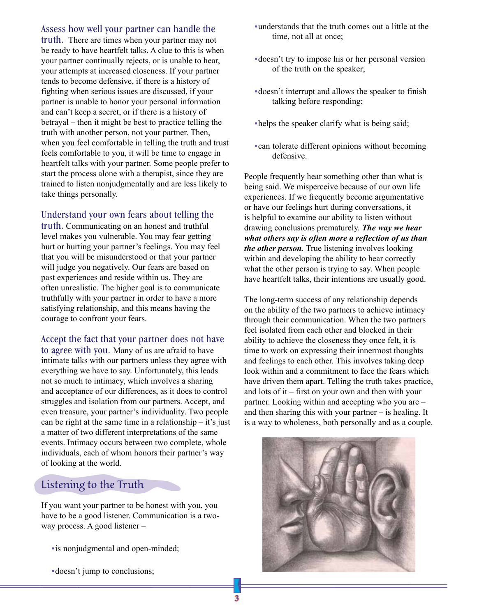#### Assess how well your partner can handle the

truth. There are times when your partner may not be ready to have heartfelt talks. A clue to this is when your partner continually rejects, or is unable to hear, your attempts at increased closeness. If your partner tends to become defensive, if there is a history of fighting when serious issues are discussed, if your partner is unable to honor your personal information and can't keep a secret, or if there is a history of betrayal – then it might be best to practice telling the truth with another person, not your partner. Then, when you feel comfortable in telling the truth and trust feels comfortable to you, it will be time to engage in heartfelt talks with your partner. Some people prefer to start the process alone with a therapist, since they are trained to listen nonjudgmentally and are less likely to take things personally.

#### Understand your own fears about telling the

truth. Communicating on an honest and truthful level makes you vulnerable. You may fear getting hurt or hurting your partner's feelings. You may feel that you will be misunderstood or that your partner will judge you negatively. Our fears are based on past experiences and reside within us. They are often unrealistic. The higher goal is to communicate truthfully with your partner in order to have a more satisfying relationship, and this means having the courage to confront your fears.

Accept the fact that your partner does not have to agree with you. Many of us are afraid to have intimate talks with our partners unless they agree with everything we have to say. Unfortunately, this leads not so much to intimacy, which involves a sharing and acceptance of our differences, as it does to control struggles and isolation from our partners. Accept, and even treasure, your partner's individuality. Two people can be right at the same time in a relationship  $-$  it's just a matter of two different interpretations of the same events. Intimacy occurs between two complete, whole individuals, each of whom honors their partner's way of looking at the world.

## Listening to the Truth

If you want your partner to be honest with you, you have to be a good listener. Communication is a twoway process. A good listener –

- is nonjudgmental and open-minded;
- **•**doesn't jump to conclusions;
- **•**understands that the truth comes out a little at the time, not all at once;
- **•**doesn't try to impose his or her personal version of the truth on the speaker;
- **•**doesn't interrupt and allows the speaker to finish talking before responding;
- **•**helps the speaker clarify what is being said;
- **•**can tolerate different opinions without becoming defensive.

People frequently hear something other than what is being said. We misperceive because of our own life experiences. If we frequently become argumentative or have our feelings hurt during conversations, it is helpful to examine our ability to listen without drawing conclusions prematurely. *The way we hear what others say is often more a reflection of us than the other person.* True listening involves looking within and developing the ability to hear correctly what the other person is trying to say. When people have heartfelt talks, their intentions are usually good.

The long-term success of any relationship depends on the ability of the two partners to achieve intimacy through their communication. When the two partners feel isolated from each other and blocked in their ability to achieve the closeness they once felt, it is time to work on expressing their innermost thoughts and feelings to each other. This involves taking deep look within and a commitment to face the fears which have driven them apart. Telling the truth takes practice, and lots of it – first on your own and then with your partner. Looking within and accepting who you are – and then sharing this with your partner – is healing. It is a way to wholeness, both personally and as a couple.